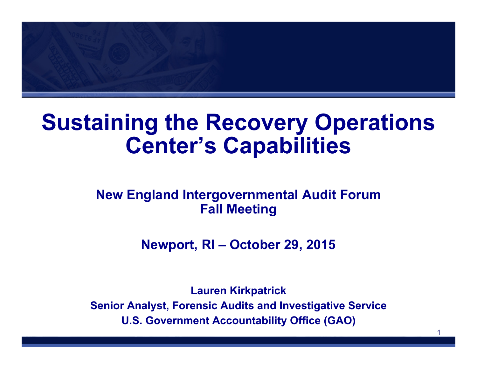

# **Sustaining the Recovery Operations Center's Capabilities**

### **New England Intergovernmental Audit Forum Fall Meeting**

**Newport, RI – October 29, 2015**

**Lauren Kirkpatrick Senior Analyst, Forensic Audits and Investigative Service U.S. Government Accountability Office (GAO)**

1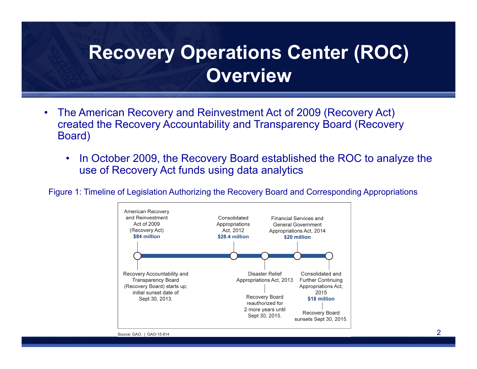## **Recovery Operations Center (ROC) Overview**

- • The American Recovery and Reinvestment Act of 2009 (Recovery Act) created the Recovery Accountability and Transparency Board (Recovery Board)
	- • In October 2009, the Recovery Board established the ROC to analyze the use of Recovery Act funds using data analytics

Figure 1: Timeline of Legislation Authorizing the Recovery Board and Corresponding Appropriations

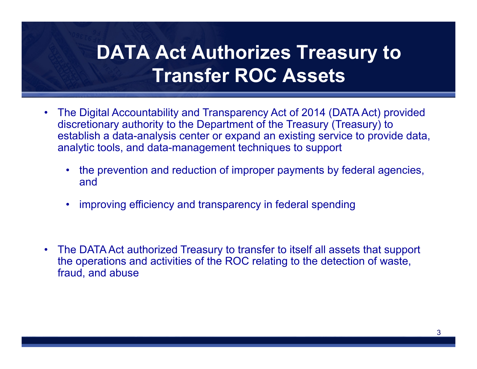## **DATA Act Authorizes Treasury to Transfer ROC Assets**

- • The Digital Accountability and Transparency Act of 2014 (DATA Act) provided discretionary authority to the Department of the Treasury (Treasury) to establish a data-analysis center or expand an existing service to provide data, analytic tools, and data-management techniques to support
	- the prevention and reduction of improper payments by federal agencies, and
	- •improving efficiency and transparency in federal spending
- • The DATA Act authorized Treasury to transfer to itself all assets that support the operations and activities of the ROC relating to the detection of waste, fraud, and abuse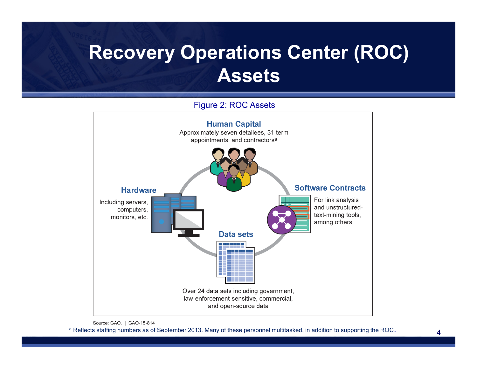## **Recovery Operations Center (ROC) Assets**



### Figure 2: ROC Assets

a Reflects staffing numbers as of September 2013. Many of these personnel multitasked, in addition to supporting the ROC.

Source: GAO. | GAO-15-814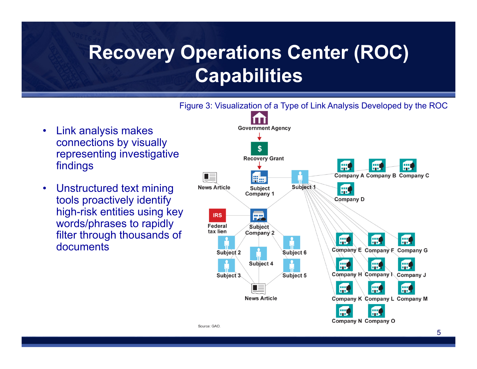## **Recovery Operations Center (ROC) Capabilities**



- • Link analysis makes connections by visually representing investigative findings
- • Unstructured text mining tools proactively identify high-risk entities using key words/phrases to rapidly filter through thousands of documents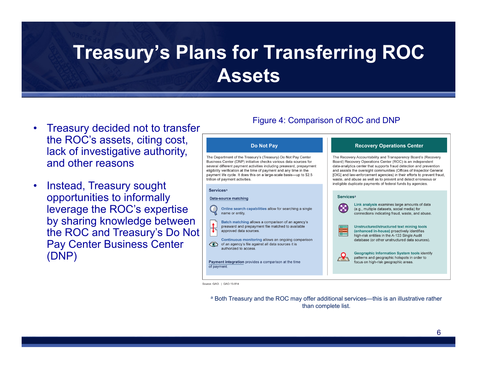## **Treasury's Plans for Transferring ROC Assets**

- • Treasury decided not to transfer the ROC's assets, citing cost, lack of investigative authority, and other reasons
- $\bullet$  Instead, Treasury sought opportunities to informally leverage the ROC's expertise by sharing knowledge between the ROC and Treasury's Do Not Pay Center Business Center (DNP)

### Figure 4: Comparison of ROC and DNP

#### Do Not Pay

The Department of the Treasury's (Treasury) Do Not Pay Center Business Center (DNP) initiative checks various data sources for several different payment activities including preaward, prepayment eligibility verification at the time of payment and any time in the payment life cycle. It does this on a large-scale basis-up to \$2.5 trillion of payment activities.

#### **Services**<sup>a</sup>

#### **Data-source matching**

Online search capabilities allow for searching a single name or entity

Batch matching allows a comparison of an agency's  $\mathbf{H}$ preaward and prepayment file matched to available approved data sources

Continuous monitoring allows an ongoing comparison of an agency's file against all data sources it is authorized to access.

Payment integration provides a comparison at the time of payment.

#### **Recovery Operations Center**

The Recovery Accountability and Transparency Board's (Recovery Board) Recovery Operations Center (ROC) is an independent data-analytics center that supports fraud detection and prevention and assists the oversight communities (Offices of Inspector General [OIG] and law-enforcement agencies) in their efforts to prevent fraud. waste, and abuse as well as to prevent and detect erroneous or ineligible duplicate payments of federal funds by agencies.

#### **Services**<sup>a</sup>



 $\boldsymbol{\mathcal{A}}$ 

Link analysis examines large amounts of data (e.g., multiple datasets, social media) for connections indicating fraud, waste, and abuse.



Unstructured/structured text mining tools (enhanced in-house) proactively identifies

high-risk entities in the A-133 Single Audit database (or other unstructured data sources).

**Geographic Information System tools identify** patterns and geographic hotspots in order to focus on high-risk geographic areas.

Source: GAO. | GAO-15-814

<sup>a</sup> Both Treasury and the ROC may offer additional services—this is an illustrative rather than complete list.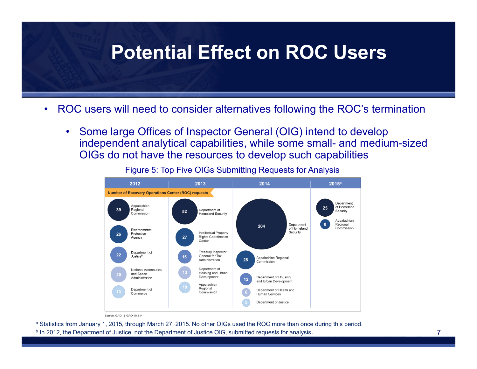### **Potential Effect on ROC Users**

- • ROC users will need to consider alternatives following the ROC's termination
	- • Some large Offices of Inspector General (OIG) intend to develop independent analytical capabilities, while some small- and medium-sized OIGs do not have the resources to develop such capabilities

2012 2013 2014  $2015<sup>a</sup>$ **Number of Recovery Operations Center (ROC) requests** Department Appalachian of Homeland 39 Regional Department of 52 Security Commission **Homeland Security** Appalachiar Department Regional 204 of Homeland Commission Environmental Intellectual Property Security Protection Rights Coordination Agency Center Department of **Treasury Inspector** General for Tax Justiceb Appalachian Regional Administration 28 Commission Department of **National Aeronautics** Housing and Urban and Space Development Department of Housing Administration and Urban Development Appalachian Regional Department of Department of Health and Commission Commerce Human Services Department of Justice

Figure 5: Top Five OIGs Submitting Requests for Analysis

Source: GAO. | GAO-15-814

<sup>a</sup> Statistics from January 1, 2015, through March 27, 2015. No other OIGs used the ROC more than once during this period. <sup>b</sup> In 2012, the Department of Justice, not the Department of Justice OIG, submitted requests for analysis.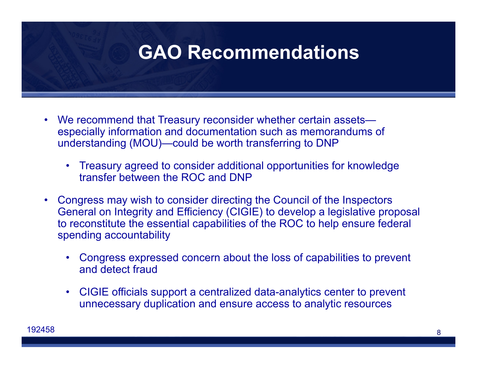### **GAO Recommendations**

- • We recommend that Treasury reconsider whether certain assets especially information and documentation such as memorandums of understanding (MOU)—could be worth transferring to DNP
	- Treasury agreed to consider additional opportunities for knowledge transfer between the ROC and DNP
- Congress may wish to consider directing the Council of the Inspectors General on Integrity and Efficiency (CIGIE) to develop a legislative proposal to reconstitute the essential capabilities of the ROC to help ensure federal spending accountability
	- • Congress expressed concern about the loss of capabilities to prevent and detect fraud
	- $\bullet$  CIGIE officials support a centralized data-analytics center to prevent unnecessary duplication and ensure access to analytic resources